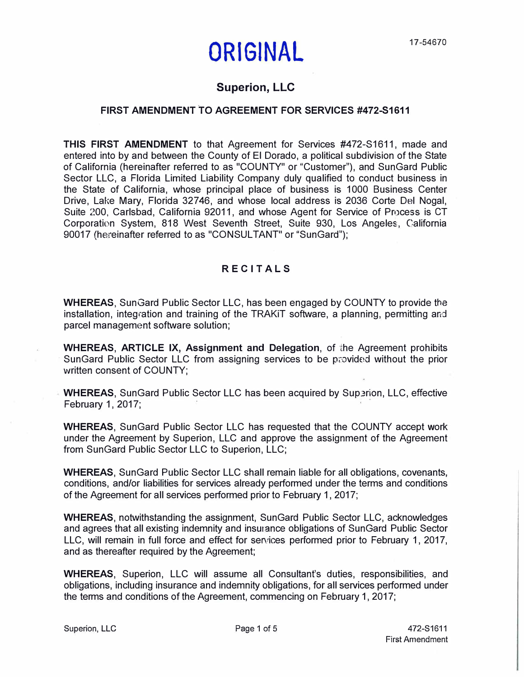# **ORIGINAL** 17-54670

## **Superion, LLC**

#### **FIRST AMENDMENT TO AGREEMENT FOR SERVICES #472-51611**

**THIS FIRST AMENDMENT** to that Agreement for Services #472-S1611, made and entered into by and between the County of El Dorado, a political subdivision of the State of California (hereinafter referred to as "COUNTY" or "Customer"), and SunGard Public Sector LLC, a Florida Limited Liability Company duly qualified to conduct business in the State of California, whose principal place of business is 1000 Business Center Drive, Lake Mary, Florida 32746, and whose local address is 2036 Corte Del Nogal, Suite 200, Carlsbad, California 92011, and whose Agent for Service of Process is CT Corporation System, 818 West Seventh Street, Suite 930, Los Angeles, California 90017 (hereinafter referred to as "CONSULTANT" or "SunGard");

#### **R E CITALS**

**WHEREAS,** SunGard Public Sector LLC, has been engaged by COUNTY to provide the installation, integration and training of the TRAKiT software, a planning, permitting and parcel management software solution;

**WHEREAS, ARTICLE IX, Assignment and Delegation, of the Agreement prohibits** SunGard Public Sector LLC from assigning services to be provided without the prior written consent of COUNTY;

**WHEREAS, SunGard Public Sector LLC has been acquired by Superion, LLC, effective** February 1, 2017;

**WHEREAS,** SunGard Public Sector LLC has requested that the COUNTY accept work under the Agreement by Superion, LLC and approve the assignment of the Agreement from SunGard Public Sector LLC to Superion, LLC;

**WHEREAS,** SunGard Public Sector LLC shall remain liable for all obligations, covenants, conditions, and/or liabilities for services already performed under the terms and conditions of the Agreement for all services performed prior to February 1, 2017;

**WHEREAS,** notwithstanding the assignment, SunGard Public Sector LLC, acknowledges and agrees that all existing indemnity and insurance obligations of SunGard Public Sector LLC, will remain in full force and effect for services performed prior to February 1, 2017, and as thereafter required by the Agreement;

**WHEREAS,** Superion, LLC will assume all Consultant's duties, responsibilities, and obligations, including insurance and indemnity obligations, for all services performed under the terms and conditions of the Agreement, commencing on February 1, 2017;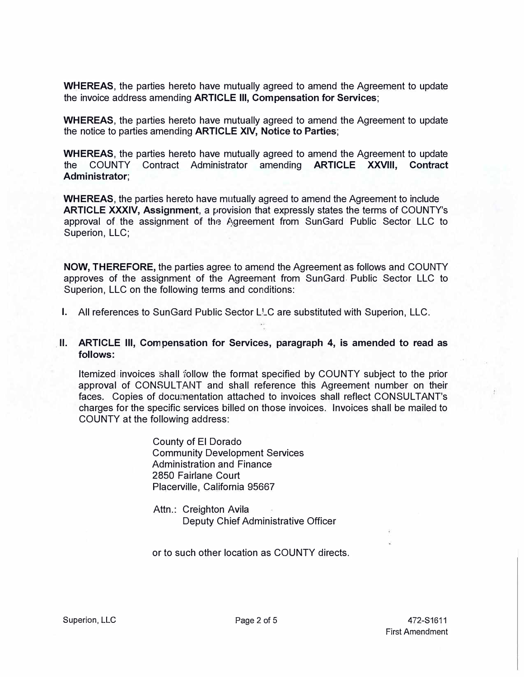**WHEREAS,** the parties hereto have mutually agreed to amend the Agreement to update the invoice address amending **ARTICLE Ill, Compensation for Services;** 

**WHEREAS,** the parties hereto have mutually agreed to amend the Agreement to update the notice to parties amending **ARTICLE XIV, Notice to Parties;** 

**WHEREAS,** the parties hereto have mutually agreed to amend the Agreement to update the COUNTY Contract Administrator amending **ARTICLE XXVIII, Contract Administrator;** 

**WHEREAS,** the parties hereto have mutually agreed to amend the Agreement to include **ARTICLE XXXIV, Assignment,** a provision that expressly states the terms of COUNTY's approval of the assignment of the Agreement from SunGard Public Sector LLC to Superion, LLC;

**NOW, THEREFORE,** the parties agree to amend the Agreement as follows and COUNTY approves of the assignment of the Agreement from SunGard. Public Sector LLC to Superion, LLC on the following terms and conditions:

- I. All references to SunGard Public Sector LLC are substituted with Superion, LLC.
- **\_ II. ARTICLE Ill, Compensation for Services, paragraph 4, is amended to read as follows:**

Itemized invoices shall follow the format specified by COUNTY subject to the prior approval of CONSULTANT and shall reference this Agreement number on their faces. Copies of documentation attached to invoices shall reflect CONSULTANT's charges for the specific services billed on those invoices. Invoices shall be mailed to COUNTY at the following address:

> County of El Dorado Community Development Services Administration and Finance 2850 Fairlane Court Placerville, California 95667

Attn.: Creighton Avila Deputy Chief Administrative Officer

or to such other location as COUNTY directs.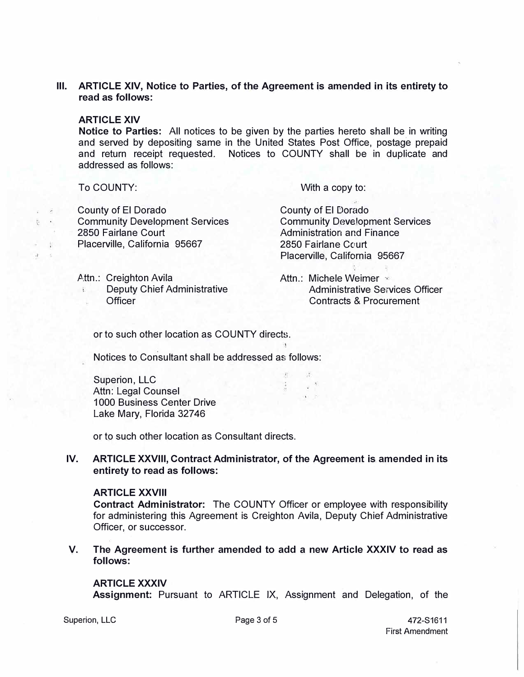#### **Ill. ARTICLE XIV, Notice to Parties, of the Agreement is amended in its entirety to read as follows:**

#### **ARTICLE XIV**

**Notice to Parties:** All notices to be given by the parties hereto shall be in writing and served by depositing same in the United States Post Office, postage prepaid and return receipt requested. Notices to COUNTY shall be in duplicate and addressed as follows:

To COUNTY:

.;

With a copy to:

County of El Dorado Community Development Services 2850 Fairlane Court Placerville, California 95667

County of El Dorado Community Development Services Administration and Finance 2850 Fairlane Court Placerville, California 95667

Attn.: Creighton Avila Deputy Chief Administrative **Officer** 

Attn.: Michele Weimer ·· Administrative Services Officer Contracts & Procurement

or to such other location as COUNTY directs.

Notices to Consultant shall be addressed as follows:

Superion, LLC Attn: Legal Counsel 1000 Business Center Drive Lake Mary, Florida 32746

or to such other location as Consultant directs.

**IV. ARTICLE XXVIII, Contract Administrator, of the Agreement is amended in its entirety to read as follows:**

#### **ARTICLE XXVIII**

**Contract Administrator:** The COUNTY Officer or employee with responsibility for administering this Agreement is Creighton Avila, Deputy Chief Administrative Officer, or successor.

**V. The Agreement is further amended to add a new Article XXXIV to read as follows:**

### **ARTICLE XXXIV**

**Assignment:** Pursuant to ARTICLE IX, Assignment and Delegation, of the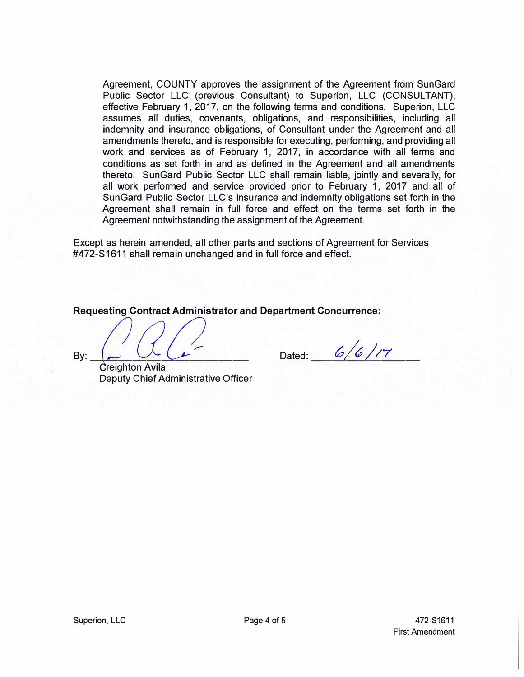Agreement, COUNTY approves the assignment of the Agreement from SunGard Public Sector LLC (previous Consultant) to Superion, LLC (CONSULTANT), effective February 1, 2017, on the following terms and conditions. Superion, LLC assumes all duties, covenants, obligations, and responsibilities, including all indemnity and insurance obligations, of Consultant under the Agreement and all amendments thereto, and is responsible for executing, performing, and providing all work and services as of February 1, 2017, in accordance with all terms and conditions as set forth in and as defined in the Agreement and all amendments thereto. SunGard Public Sector LLC shall remain liable, jointly and severally, for all work performed and service provided prior to February 1, 2017 and all of SunGard Public Sector LLC's insurance and indemnity obligations set forth in the Agreement shall remain in full force and effect on the terms set forth in the Agreement notwithstanding the assignment of the Agreement.

Except as herein amended, all other parts and sections of Agreement for Services #472-S1611 shall remain unchanged and in full force and effect.

**Requesting Contract Administrator and Department Concurrence:** 

 $By: \_\sim\_\sim\_\sim\_\sim\_\sim\_\sim\$  Dated:  $6/6/77$ 

**Creighton Avila** Deputy Chief Administrative Officer